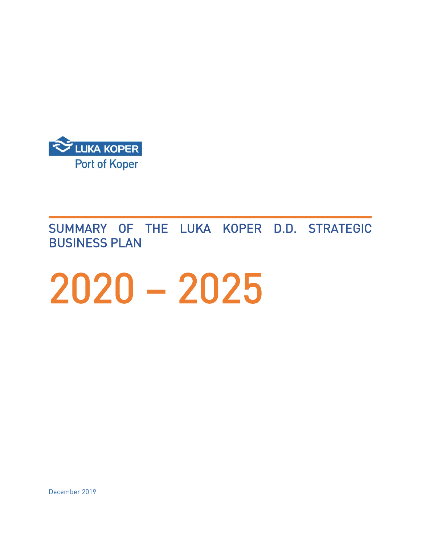

j SUMMARY OF THE LUKA KOPER D.D. STRATEGIC BUSINESS PLAN

# 2020 – 2025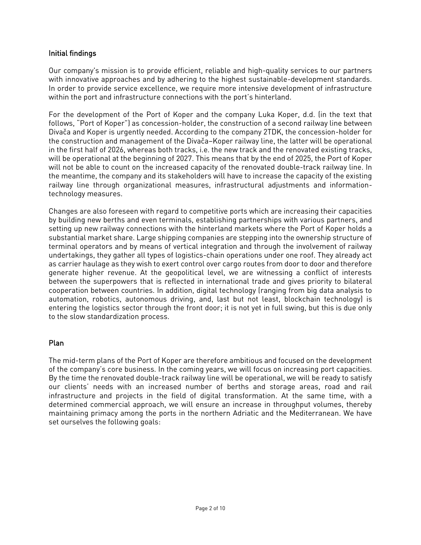# Initial findings

Our company's mission is to provide efficient, reliable and high-quality services to our partners with innovative approaches and by adhering to the highest sustainable-development standards. In order to provide service excellence, we require more intensive development of infrastructure within the port and infrastructure connections with the port's hinterland.

For the development of the Port of Koper and the company Luka Koper, d.d. (in the text that follows, "Port of Koper") as concession-holder, the construction of a second railway line between Divača and Koper is urgently needed. According to the company 2TDK, the concession-holder for the construction and management of the Divača–Koper railway line, the latter will be operational in the first half of 2026, whereas both tracks, i.e. the new track and the renovated existing tracks, will be operational at the beginning of 2027. This means that by the end of 2025, the Port of Koper will not be able to count on the increased capacity of the renovated double-track railway line. In the meantime, the company and its stakeholders will have to increase the capacity of the existing railway line through organizational measures, infrastructural adjustments and informationtechnology measures.

Changes are also foreseen with regard to competitive ports which are increasing their capacities by building new berths and even terminals, establishing partnerships with various partners, and setting up new railway connections with the hinterland markets where the Port of Koper holds a substantial market share. Large shipping companies are stepping into the ownership structure of terminal operators and by means of vertical integration and through the involvement of railway undertakings, they gather all types of logistics-chain operations under one roof. They already act as carrier haulage as they wish to exert control over cargo routes from door to door and therefore generate higher revenue. At the geopolitical level, we are witnessing a conflict of interests between the superpowers that is reflected in international trade and gives priority to bilateral cooperation between countries. In addition, digital technology (ranging from big data analysis to automation, robotics, autonomous driving, and, last but not least, blockchain technology) is entering the logistics sector through the front door; it is not yet in full swing, but this is due only to the slow standardization process.

# Plan

The mid-term plans of the Port of Koper are therefore ambitious and focused on the development of the company's core business. In the coming years, we will focus on increasing port capacities. By the time the renovated double-track railway line will be operational, we will be ready to satisfy our clients' needs with an increased number of berths and storage areas, road and rail infrastructure and projects in the field of digital transformation. At the same time, with a determined commercial approach, we will ensure an increase in throughput volumes, thereby maintaining primacy among the ports in the northern Adriatic and the Mediterranean. We have set ourselves the following goals: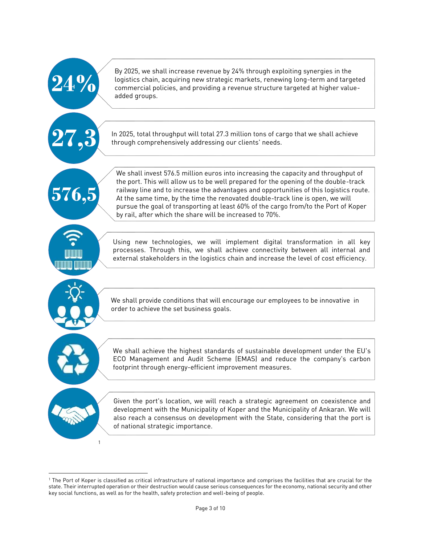| 4.%          | By 2025, we shall increase revenue by 24% through exploiting synergies in the<br>logistics chain, acquiring new strategic markets, renewing long-term and targeted<br>commercial policies, and providing a revenue structure targeted at higher value-<br>added groups.                                                                                                                                                                                                                                   |
|--------------|-----------------------------------------------------------------------------------------------------------------------------------------------------------------------------------------------------------------------------------------------------------------------------------------------------------------------------------------------------------------------------------------------------------------------------------------------------------------------------------------------------------|
| 27,3         | In 2025, total throughput will total 27.3 million tons of cargo that we shall achieve<br>through comprehensively addressing our clients' needs.                                                                                                                                                                                                                                                                                                                                                           |
| 576,5        | We shall invest 576.5 million euros into increasing the capacity and throughput of<br>the port. This will allow us to be well prepared for the opening of the double-track<br>railway line and to increase the advantages and opportunities of this logistics route.<br>At the same time, by the time the renovated double-track line is open, we will<br>pursue the goal of transporting at least 60% of the cargo from/to the Port of Koper<br>by rail, after which the share will be increased to 70%. |
|              | Using new technologies, we will implement digital transformation in all key<br>processes. Through this, we shall achieve connectivity between all internal and<br>external stakeholders in the logistics chain and increase the level of cost efficiency.                                                                                                                                                                                                                                                 |
|              | We shall provide conditions that will encourage our employees to be innovative in<br>order to achieve the set business goals.                                                                                                                                                                                                                                                                                                                                                                             |
|              | We shall achieve the highest standards of sustainable development under the EU's<br>ECO Management and Audit Scheme (EMAS) and reduce the company's carbon<br>footprint through energy-efficient improvement measures.                                                                                                                                                                                                                                                                                    |
| $\mathbf{1}$ | Given the port's location, we will reach a strategic agreement on coexistence and<br>development with the Municipality of Koper and the Municipality of Ankaran. We will<br>also reach a consensus on development with the State, considering that the port is<br>of national strategic importance.                                                                                                                                                                                                       |

 $\overline{a}$ <sup>1</sup> The Port of Koper is classified as critical infrastructure of national importance and comprises the facilities that are crucial for the state. Their interrupted operation or their destruction would cause serious consequences for the economy, national security and other key social functions, as well as for the health, safety protection and well-being of people.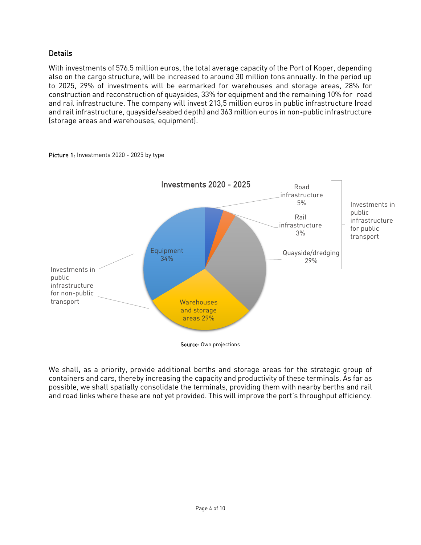# **Details**

With investments of 576.5 million euros, the total average capacity of the Port of Koper, depending also on the cargo structure, will be increased to around 30 million tons annually. In the period up to 2025, 29% of investments will be earmarked for warehouses and storage areas, 28% for construction and reconstruction of quaysides, 33% for equipment and the remaining 10% for road and rail infrastructure. The company will invest 213,5 million euros in public infrastructure (road and rail infrastructure, quayside/seabed depth) and 363 million euros in non-public infrastructure (storage areas and warehouses, equipment).



Picture 1: Investments 2020 - 2025 by type

We shall, as a priority, provide additional berths and storage areas for the strategic group of containers and cars, thereby increasing the capacity and productivity of these terminals. As far as possible, we shall spatially consolidate the terminals, providing them with nearby berths and rail and road links where these are not yet provided. This will improve the port's throughput efficiency.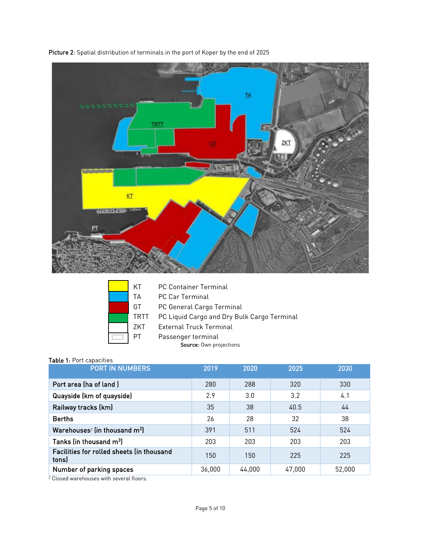

Picture 2: Spatial distribution of terminals in the port of Koper by the end of 2025

| ΚT              |
|-----------------|
| TΑ              |
| GT              |
| TR'             |
| 7K <sup>-</sup> |
| РT              |

- PC Container Terminal
- PC Car Terminal

PC General Cargo Terminal

- TT PC Liquid Cargo and Dry Bulk Cargo Terminal
- T External Truck Terminal
	- Passenger terminal

Source: Own projections

#### Table 1: Port capacities

| $1.40$ $1.101$ capacities<br><b>PORT IN NUMBERS</b> | 2019   | 2020   | 2025   | 2030   |
|-----------------------------------------------------|--------|--------|--------|--------|
| Port area (ha of land)                              | 280    | 288    | 320    | 330    |
| Quayside (km of quayside)                           | 2.9    | 3.0    | 3.2    | 4.1    |
| Railway tracks (km)                                 | 35     | 38     | 40.5   | 44     |
| <b>Berths</b>                                       | 26     | 28     | 32     | 38     |
| Warehouses <sup>2</sup> (in thousand $m2$ )         | 391    | 511    | 524    | 524    |
| Tanks (in thousand m <sup>3</sup> )                 | 203    | 203    | 203    | 203    |
| Facilities for rolled sheets (in thousand<br>tons)  | 150    | 150    | 225    | 225    |
| Number of parking spaces                            | 36,000 | 44,000 | 47,000 | 52,000 |

<sup>2</sup> Closed warehouses with several floors.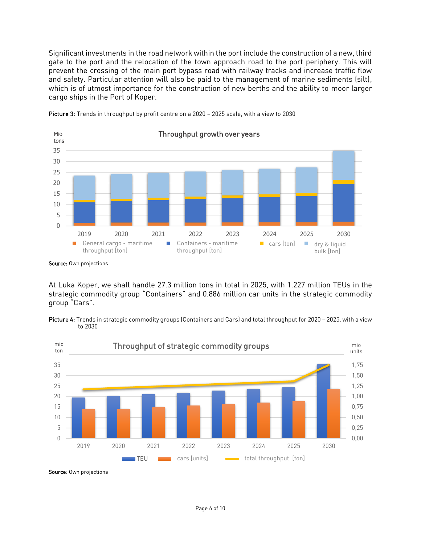Significant investments in the road network within the port include the construction of a new, third gate to the port and the relocation of the town approach road to the port periphery. This will prevent the crossing of the main port bypass road with railway tracks and increase traffic flow and safety. Particular attention will also be paid to the management of marine sediments (silt), which is of utmost importance for the construction of new berths and the ability to moor larger cargo ships in the Port of Koper.



Picture 3: Trends in throughput by profit centre on a 2020 - 2025 scale, with a view to 2030

At Luka Koper, we shall handle 27.3 million tons in total in 2025, with 1.227 million TEUs in the strategic commodity group "Containers" and 0.886 million car units in the strategic commodity group "Cars".





Source: Own projections

Source: Own projections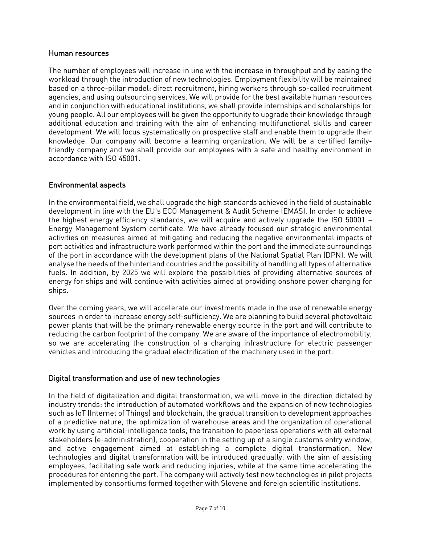#### Human resources

The number of employees will increase in line with the increase in throughput and by easing the workload through the introduction of new technologies. Employment flexibility will be maintained based on a three-pillar model: direct recruitment, hiring workers through so-called recruitment agencies, and using outsourcing services. We will provide for the best available human resources and in conjunction with educational institutions, we shall provide internships and scholarships for young people. All our employees will be given the opportunity to upgrade their knowledge through additional education and training with the aim of enhancing multifunctional skills and career development. We will focus systematically on prospective staff and enable them to upgrade their knowledge. Our company will become a learning organization. We will be a certified familyfriendly company and we shall provide our employees with a safe and healthy environment in accordance with ISO 45001.

## Environmental aspects

In the environmental field, we shall upgrade the high standards achieved in the field of sustainable development in line with the EU's ECO Management & Audit Scheme (EMAS). In order to achieve the highest energy efficiency standards, we will acquire and actively upgrade the ISO 50001 – Energy Management System certificate. We have already focused our strategic environmental activities on measures aimed at mitigating and reducing the negative environmental impacts of port activities and infrastructure work performed within the port and the immediate surroundings of the port in accordance with the development plans of the National Spatial Plan (DPN). We will analyse the needs of the hinterland countries and the possibility of handling all types of alternative fuels. In addition, by 2025 we will explore the possibilities of providing alternative sources of energy for ships and will continue with activities aimed at providing onshore power charging for ships.

Over the coming years, we will accelerate our investments made in the use of renewable energy sources in order to increase energy self-sufficiency. We are planning to build several photovoltaic power plants that will be the primary renewable energy source in the port and will contribute to reducing the carbon footprint of the company. We are aware of the importance of electromobility, so we are accelerating the construction of a charging infrastructure for electric passenger vehicles and introducing the gradual electrification of the machinery used in the port.

#### Digital transformation and use of new technologies

In the field of digitalization and digital transformation, we will move in the direction dictated by industry trends: the introduction of automated workflows and the expansion of new technologies such as IoT (Internet of Things) and blockchain, the gradual transition to development approaches of a predictive nature, the optimization of warehouse areas and the organization of operational work by using artificial-intelligence tools, the transition to paperless operations with all external stakeholders (e-administration), cooperation in the setting up of a single customs entry window, and active engagement aimed at establishing a complete digital transformation. New technologies and digital transformation will be introduced gradually, with the aim of assisting employees, facilitating safe work and reducing injuries, while at the same time accelerating the procedures for entering the port. The company will actively test new technologies in pilot projects implemented by consortiums formed together with Slovene and foreign scientific institutions.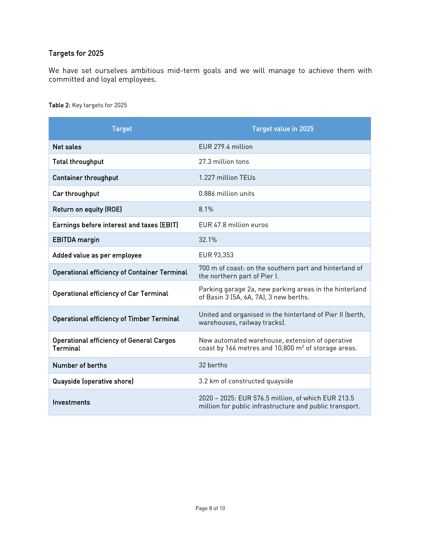# Targets for 2025

We have set ourselves ambitious mid-term goals and we will manage to achieve them with committed and loyal employees.

Table 2: Key targets for 2025

| <b>Target</b>                                               | <b>Target value in 2025</b>                                                                                   |  |  |
|-------------------------------------------------------------|---------------------------------------------------------------------------------------------------------------|--|--|
| <b>Net sales</b>                                            | EUR 279.4 million                                                                                             |  |  |
| <b>Total throughput</b>                                     | 27.3 million tons                                                                                             |  |  |
| <b>Container throughput</b>                                 | 1.227 million TEUs                                                                                            |  |  |
| Car throughput                                              | 0.886 million units                                                                                           |  |  |
| Return on equity (ROE)                                      | 8.1%                                                                                                          |  |  |
| Earnings before interest and taxes (EBIT)                   | EUR 47.8 million euros                                                                                        |  |  |
| <b>EBITDA</b> margin                                        | 32.1%                                                                                                         |  |  |
| Added value as per employee                                 | EUR 93,353                                                                                                    |  |  |
| <b>Operational efficiency of Container Terminal</b>         | 700 m of coast: on the southern part and hinterland of<br>the northern part of Pier I.                        |  |  |
| <b>Operational efficiency of Car Terminal</b>               | Parking garage 2a, new parking areas in the hinterland<br>of Basin 3 (5A, 6A, 7A), 3 new berths.              |  |  |
| <b>Operational efficiency of Timber Terminal</b>            | United and organised in the hinterland of Pier II (berth,<br>warehouses, railway tracks).                     |  |  |
| <b>Operational efficiency of General Cargos</b><br>Terminal | New automated warehouse, extension of operative<br>coast by 166 metres and 10,800 $m2$ of storage areas.      |  |  |
| Number of berths                                            | 32 berths                                                                                                     |  |  |
| Quayside (operative shore)                                  | 3.2 km of constructed quayside                                                                                |  |  |
| Investments                                                 | 2020 - 2025: EUR 576.5 million, of which EUR 213.5<br>million for public infrastructure and public transport. |  |  |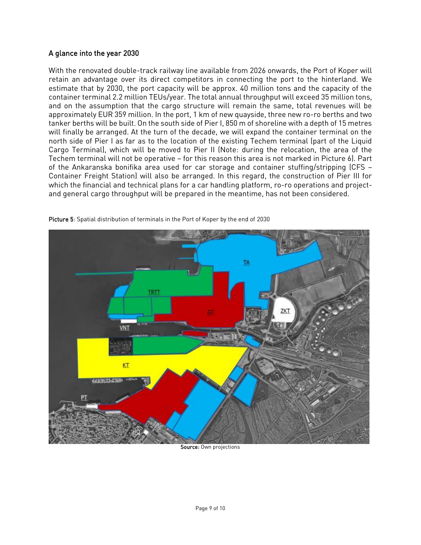## A glance into the year 2030

With the renovated double-track railway line available from 2026 onwards, the Port of Koper will retain an advantage over its direct competitors in connecting the port to the hinterland. We estimate that by 2030, the port capacity will be approx. 40 million tons and the capacity of the container terminal 2.2 million TEUs/year. The total annual throughput will exceed 35 million tons, and on the assumption that the cargo structure will remain the same, total revenues will be approximately EUR 359 million. In the port, 1 km of new quayside, three new ro-ro berths and two tanker berths will be built. On the south side of Pier I, 850 m of shoreline with a depth of 15 metres will finally be arranged. At the turn of the decade, we will expand the container terminal on the north side of Pier I as far as to the location of the existing Techem terminal (part of the Liquid Cargo Terminal), which will be moved to Pier II (Note: during the relocation, the area of the Techem terminal will not be operative – for this reason this area is not marked in Picture 6). Part of the Ankaranska bonifika area used for car storage and container stuffing/stripping (CFS – Container Freight Station) will also be arranged. In this regard, the construction of Pier III for which the financial and technical plans for a car handling platform, ro-ro operations and projectand general cargo throughput will be prepared in the meantime, has not been considered.



Picture 5: Spatial distribution of terminals in the Port of Koper by the end of 2030

Source: Own projections